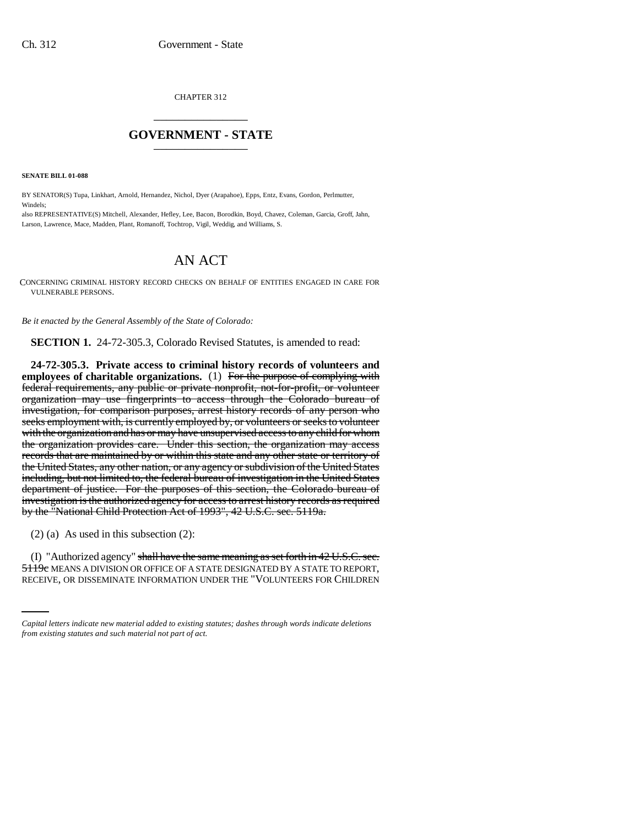CHAPTER 312 \_\_\_\_\_\_\_\_\_\_\_\_\_\_\_

## **GOVERNMENT - STATE** \_\_\_\_\_\_\_\_\_\_\_\_\_\_\_

**SENATE BILL 01-088**

Windels;

BY SENATOR(S) Tupa, Linkhart, Arnold, Hernandez, Nichol, Dyer (Arapahoe), Epps, Entz, Evans, Gordon, Perlmutter,

also REPRESENTATIVE(S) Mitchell, Alexander, Hefley, Lee, Bacon, Borodkin, Boyd, Chavez, Coleman, Garcia, Groff, Jahn, Larson, Lawrence, Mace, Madden, Plant, Romanoff, Tochtrop, Vigil, Weddig, and Williams, S.

## AN ACT

CONCERNING CRIMINAL HISTORY RECORD CHECKS ON BEHALF OF ENTITIES ENGAGED IN CARE FOR VULNERABLE PERSONS.

*Be it enacted by the General Assembly of the State of Colorado:*

**SECTION 1.** 24-72-305.3, Colorado Revised Statutes, is amended to read:

**24-72-305.3. Private access to criminal history records of volunteers and employees of charitable organizations.** (1) For the purpose of complying with federal requirements, any public or private nonprofit, not-for-profit, or volunteer organization may use fingerprints to access through the Colorado bureau of investigation, for comparison purposes, arrest history records of any person who seeks employment with, is currently employed by, or volunteers or seeks to volunteer with the organization and has or may have unsupervised access to any child for whom the organization provides care. Under this section, the organization may access records that are maintained by or within this state and any other state or territory of the United States, any other nation, or any agency or subdivision of the United States including, but not limited to, the federal bureau of investigation in the United States department of justice. For the purposes of this section, the Colorado bureau of investigation is the authorized agency for access to arrest history records as required by the "National Child Protection Act of 1993", 42 U.S.C. sec. 5119a.

(2) (a) As used in this subsection (2):

(I) "Authorized agency" shall have the same meaning as set forth in  $42 \text{ U.S.C. sec.}$ 5119c MEANS A DIVISION OR OFFICE OF A STATE DESIGNATED BY A STATE TO REPORT, RECEIVE, OR DISSEMINATE INFORMATION UNDER THE "VOLUNTEERS FOR CHILDREN

*Capital letters indicate new material added to existing statutes; dashes through words indicate deletions from existing statutes and such material not part of act.*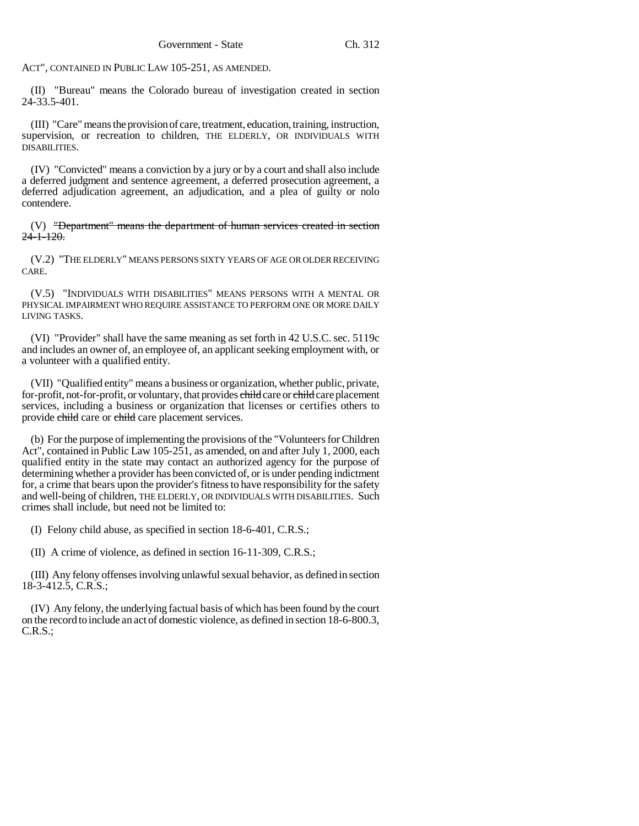ACT", CONTAINED IN PUBLIC LAW 105-251, AS AMENDED.

(II) "Bureau" means the Colorado bureau of investigation created in section 24-33.5-401.

(III) "Care" means the provision of care, treatment, education, training, instruction, supervision, or recreation to children, THE ELDERLY, OR INDIVIDUALS WITH DISABILITIES.

(IV) "Convicted" means a conviction by a jury or by a court and shall also include a deferred judgment and sentence agreement, a deferred prosecution agreement, a deferred adjudication agreement, an adjudication, and a plea of guilty or nolo contendere.

(V) "Department" means the department of human services created in section  $24 - 1 - 120.$ 

(V.2) "THE ELDERLY" MEANS PERSONS SIXTY YEARS OF AGE OR OLDER RECEIVING CARE.

(V.5) "INDIVIDUALS WITH DISABILITIES" MEANS PERSONS WITH A MENTAL OR PHYSICAL IMPAIRMENT WHO REQUIRE ASSISTANCE TO PERFORM ONE OR MORE DAILY LIVING TASKS.

(VI) "Provider" shall have the same meaning as set forth in 42 U.S.C. sec. 5119c and includes an owner of, an employee of, an applicant seeking employment with, or a volunteer with a qualified entity.

(VII) "Qualified entity" means a business or organization, whether public, private, for-profit, not-for-profit, or voluntary, that provides child care or child care placement services, including a business or organization that licenses or certifies others to provide child care or child care placement services.

(b) For the purpose of implementing the provisions of the "Volunteers for Children Act", contained in Public Law 105-251, as amended, on and after July 1, 2000, each qualified entity in the state may contact an authorized agency for the purpose of determining whether a provider has been convicted of, or is under pending indictment for, a crime that bears upon the provider's fitness to have responsibility for the safety and well-being of children, THE ELDERLY, OR INDIVIDUALS WITH DISABILITIES. Such crimes shall include, but need not be limited to:

(I) Felony child abuse, as specified in section 18-6-401, C.R.S.;

(II) A crime of violence, as defined in section 16-11-309, C.R.S.;

(III) Any felony offenses involving unlawful sexual behavior, as defined in section 18-3-412.5, C.R.S.;

(IV) Any felony, the underlying factual basis of which has been found by the court on the record to include an act of domestic violence, as defined in section 18-6-800.3, C.R.S.;